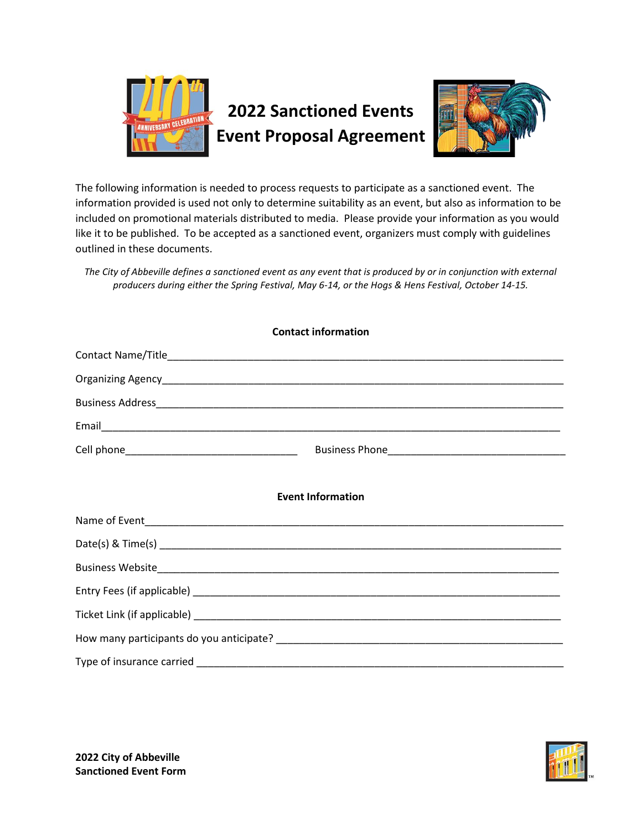

The following information is needed to process requests to participate as a sanctioned event. The information provided is used not only to determine suitability as an event, but also as information to be included on promotional materials distributed to media. Please provide your information as you would like it to be published. To be accepted as a sanctioned event, organizers must comply with guidelines outlined in these documents.

*The City of Abbeville defines a sanctioned event as any event that is produced by or in conjunction with external producers during either the Spring Festival, May 6-14, or the Hogs & Hens Festival, October 14-15.*

| <b>Contact information</b> |  |  |  |  |
|----------------------------|--|--|--|--|
|                            |  |  |  |  |
|                            |  |  |  |  |
|                            |  |  |  |  |
|                            |  |  |  |  |
|                            |  |  |  |  |
| <b>Event Information</b>   |  |  |  |  |
|                            |  |  |  |  |
|                            |  |  |  |  |
|                            |  |  |  |  |
|                            |  |  |  |  |
|                            |  |  |  |  |
|                            |  |  |  |  |
|                            |  |  |  |  |

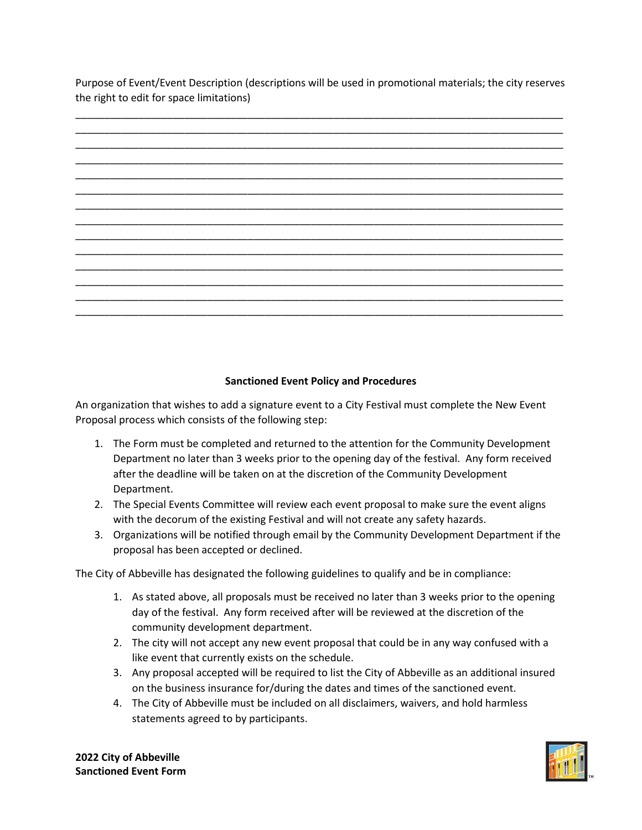Purpose of Event/Event Description (descriptions will be used in promotional materials; the city reserves the right to edit for space limitations)

## **Sanctioned Event Policy and Procedures**

An organization that wishes to add a signature event to a City Festival must complete the New Event Proposal process which consists of the following step:

- 1. The Form must be completed and returned to the attention for the Community Development Department no later than 3 weeks prior to the opening day of the festival. Any form received after the deadline will be taken on at the discretion of the Community Development Department.
- 2. The Special Events Committee will review each event proposal to make sure the event aligns with the decorum of the existing Festival and will not create any safety hazards.
- 3. Organizations will be notified through email by the Community Development Department if the proposal has been accepted or declined.

The City of Abbeville has designated the following guidelines to qualify and be in compliance:

- 1. As stated above, all proposals must be received no later than 3 weeks prior to the opening day of the festival. Any form received after will be reviewed at the discretion of the community development department.
- 2. The city will not accept any new event proposal that could be in any way confused with a like event that currently exists on the schedule.
- 3. Any proposal accepted will be required to list the City of Abbeville as an additional insured on the business insurance for/during the dates and times of the sanctioned event.
- 4. The City of Abbeville must be included on all disclaimers, waivers, and hold harmless statements agreed to by participants.